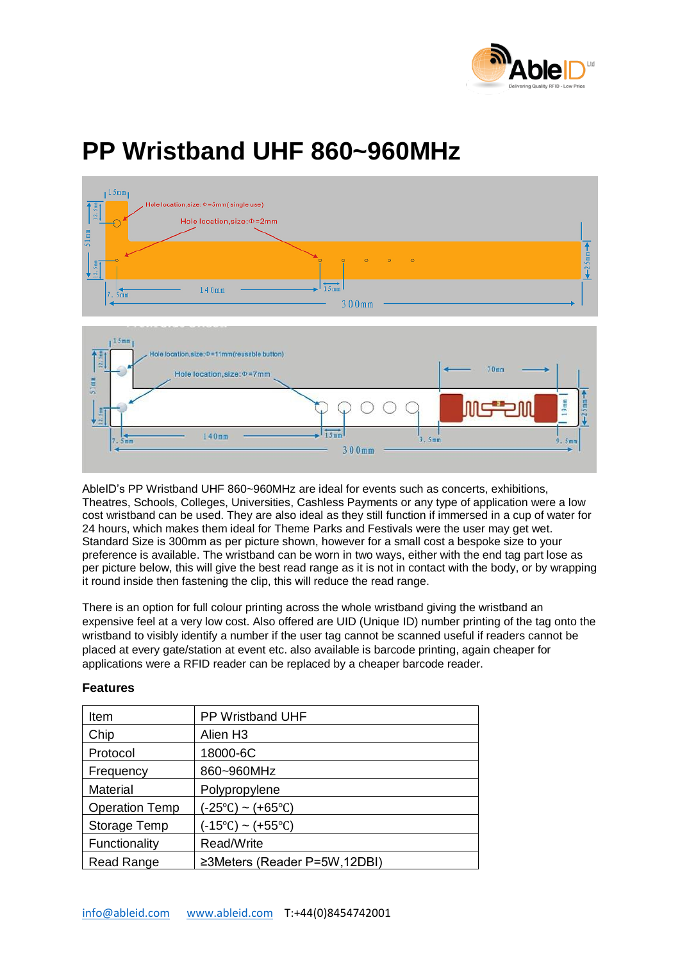

## **PP Wristband UHF 860~960MHz**



AbleID's PP Wristband UHF 860~960MHz are ideal for events such as concerts, exhibitions, Theatres, Schools, Colleges, Universities, Cashless Payments or any type of application were a low cost wristband can be used. They are also ideal as they still function if immersed in a cup of water for 24 hours, which makes them ideal for Theme Parks and Festivals were the user may get wet. Standard Size is 300mm as per picture shown, however for a small cost a bespoke size to your preference is available. The wristband can be worn in two ways, either with the end tag part lose as per picture below, this will give the best read range as it is not in contact with the body, or by wrapping it round inside then fastening the clip, this will reduce the read range.

There is an option for full colour printing across the whole wristband giving the wristband an expensive feel at a very low cost. Also offered are UID (Unique ID) number printing of the tag onto the wristband to visibly identify a number if the user tag cannot be scanned useful if readers cannot be placed at every gate/station at event etc. also available is barcode printing, again cheaper for applications were a RFID reader can be replaced by a cheaper barcode reader.

| <b>Features</b>       |                                      |
|-----------------------|--------------------------------------|
| Item                  | <b>PP Wristband UHF</b>              |
| Chip                  | Alien H <sub>3</sub>                 |
| Protocol              | 18000-6C                             |
| Frequency             | 860~960MHz                           |
| Material              | Polypropylene                        |
| <b>Operation Temp</b> | $(-25^{\circ}C) \sim (+65^{\circ}C)$ |
| Storage Temp          | (-15°C) ~ (+55°C)                    |
| Functionality         | Read/Write                           |
| Read Range            | ≥3Meters (Reader P=5W,12DBI)         |
|                       |                                      |

## **Features**